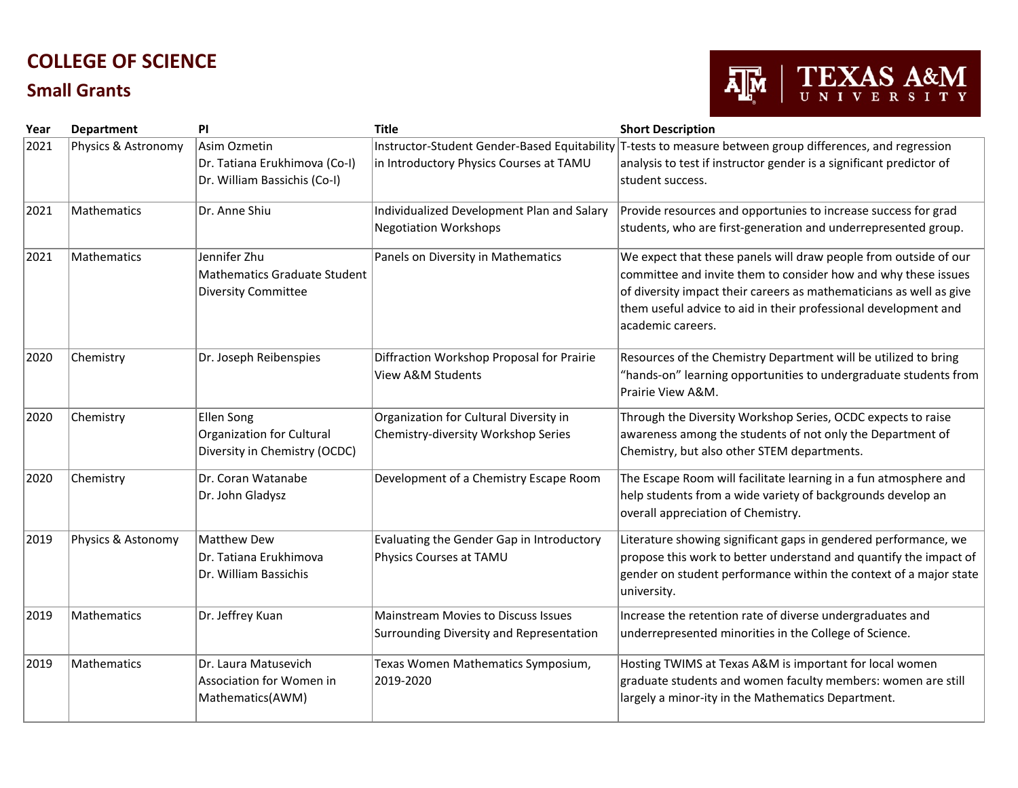## **COLLEGE OF SCIENCE**

## **Small Grants**



| Year | Department          | PI                                                                            | <b>Title</b>                                                                            | <b>Short Description</b>                                                                                                                                                                                                                                                                           |
|------|---------------------|-------------------------------------------------------------------------------|-----------------------------------------------------------------------------------------|----------------------------------------------------------------------------------------------------------------------------------------------------------------------------------------------------------------------------------------------------------------------------------------------------|
| 2021 | Physics & Astronomy | Asim Ozmetin<br>Dr. Tatiana Erukhimova (Co-I)<br>Dr. William Bassichis (Co-I) | Instructor-Student Gender-Based Equitability<br>in Introductory Physics Courses at TAMU | T-tests to measure between group differences, and regression<br>analysis to test if instructor gender is a significant predictor of<br>student success.                                                                                                                                            |
| 2021 | Mathematics         | Dr. Anne Shiu                                                                 | Individualized Development Plan and Salary<br><b>Negotiation Workshops</b>              | Provide resources and opportunies to increase success for grad<br>students, who are first-generation and underrepresented group.                                                                                                                                                                   |
| 2021 | Mathematics         | Jennifer Zhu<br><b>Mathematics Graduate Student</b><br>Diversity Committee    | Panels on Diversity in Mathematics                                                      | We expect that these panels will draw people from outside of our<br>committee and invite them to consider how and why these issues<br>of diversity impact their careers as mathematicians as well as give<br>them useful advice to aid in their professional development and<br>lacademic careers. |
| 2020 | Chemistry           | Dr. Joseph Reibenspies                                                        | Diffraction Workshop Proposal for Prairie<br><b>View A&amp;M Students</b>               | Resources of the Chemistry Department will be utilized to bring<br>"hands-on" learning opportunities to undergraduate students from<br>Prairie View A&M.                                                                                                                                           |
| 2020 | Chemistry           | Ellen Song<br>Organization for Cultural<br>Diversity in Chemistry (OCDC)      | Organization for Cultural Diversity in<br>Chemistry-diversity Workshop Series           | Through the Diversity Workshop Series, OCDC expects to raise<br>awareness among the students of not only the Department of<br>Chemistry, but also other STEM departments.                                                                                                                          |
| 2020 | Chemistry           | Dr. Coran Watanabe<br>Dr. John Gladysz                                        | Development of a Chemistry Escape Room                                                  | The Escape Room will facilitate learning in a fun atmosphere and<br>help students from a wide variety of backgrounds develop an<br>overall appreciation of Chemistry.                                                                                                                              |
| 2019 | Physics & Astonomy  | Matthew Dew<br>Dr. Tatiana Erukhimova<br>Dr. William Bassichis                | Evaluating the Gender Gap in Introductory<br>Physics Courses at TAMU                    | Literature showing significant gaps in gendered performance, we<br>propose this work to better understand and quantify the impact of<br>gender on student performance within the context of a major state<br>university.                                                                           |
| 2019 | Mathematics         | Dr. Jeffrey Kuan                                                              | <b>Mainstream Movies to Discuss Issues</b><br>Surrounding Diversity and Representation  | Increase the retention rate of diverse undergraduates and<br>underrepresented minorities in the College of Science.                                                                                                                                                                                |
| 2019 | Mathematics         | Dr. Laura Matusevich<br>Association for Women in<br>Mathematics(AWM)          | Texas Women Mathematics Symposium,<br>2019-2020                                         | Hosting TWIMS at Texas A&M is important for local women<br>graduate students and women faculty members: women are still<br>largely a minor-ity in the Mathematics Department.                                                                                                                      |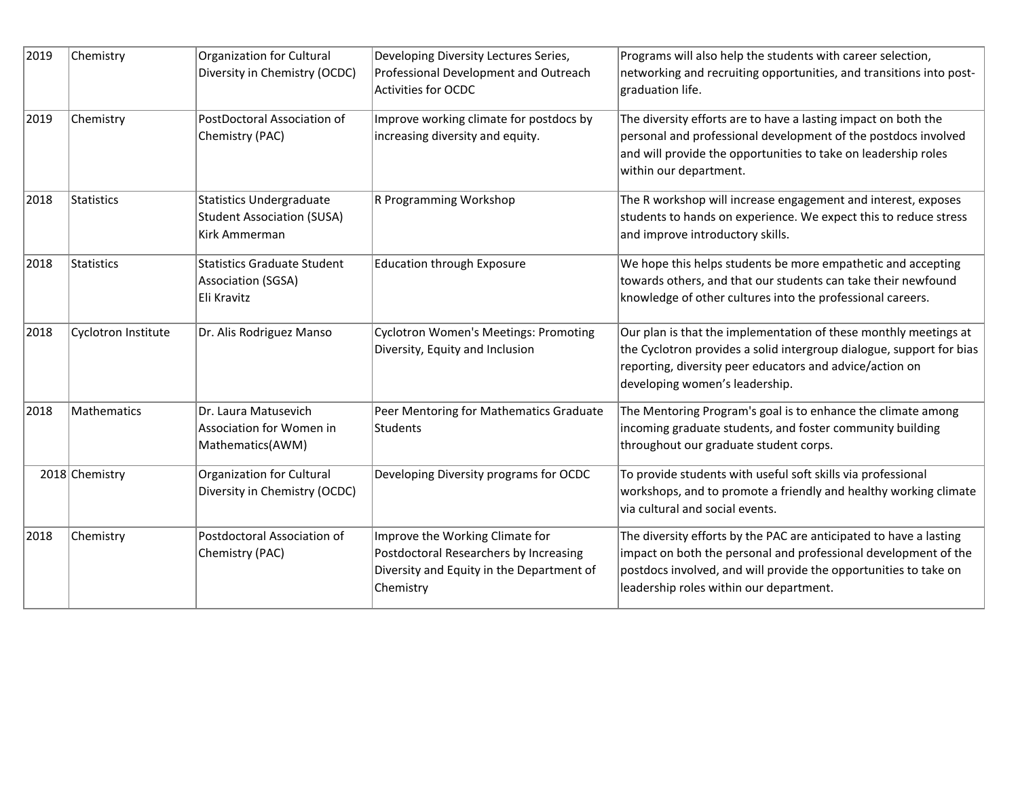| 2019 | Chemistry           | Organization for Cultural                                                             | Developing Diversity Lectures Series,                                                                                               | Programs will also help the students with career selection,                                                                                                                                                                                          |
|------|---------------------|---------------------------------------------------------------------------------------|-------------------------------------------------------------------------------------------------------------------------------------|------------------------------------------------------------------------------------------------------------------------------------------------------------------------------------------------------------------------------------------------------|
|      |                     | Diversity in Chemistry (OCDC)                                                         | Professional Development and Outreach<br>Activities for OCDC                                                                        | networking and recruiting opportunities, and transitions into post-<br>graduation life.                                                                                                                                                              |
| 2019 | Chemistry           | PostDoctoral Association of<br>Chemistry (PAC)                                        | Improve working climate for postdocs by<br>increasing diversity and equity.                                                         | The diversity efforts are to have a lasting impact on both the<br>personal and professional development of the postdocs involved<br>and will provide the opportunities to take on leadership roles<br>within our department.                         |
| 2018 | Statistics          | <b>Statistics Undergraduate</b><br><b>Student Association (SUSA)</b><br>Kirk Ammerman | R Programming Workshop                                                                                                              | The R workshop will increase engagement and interest, exposes<br>students to hands on experience. We expect this to reduce stress<br>and improve introductory skills.                                                                                |
| 2018 | Statistics          | <b>Statistics Graduate Student</b><br>Association (SGSA)<br>Eli Kravitz               | <b>Education through Exposure</b>                                                                                                   | We hope this helps students be more empathetic and accepting<br>towards others, and that our students can take their newfound<br>knowledge of other cultures into the professional careers.                                                          |
| 2018 | Cyclotron Institute | Dr. Alis Rodriguez Manso                                                              | <b>Cyclotron Women's Meetings: Promoting</b><br>Diversity, Equity and Inclusion                                                     | Our plan is that the implementation of these monthly meetings at<br>the Cyclotron provides a solid intergroup dialogue, support for bias<br>reporting, diversity peer educators and advice/action on<br>developing women's leadership.               |
| 2018 | Mathematics         | Dr. Laura Matusevich<br>Association for Women in<br>Mathematics(AWM)                  | Peer Mentoring for Mathematics Graduate<br>Students                                                                                 | The Mentoring Program's goal is to enhance the climate among<br>incoming graduate students, and foster community building<br>throughout our graduate student corps.                                                                                  |
|      | 2018 Chemistry      | Organization for Cultural<br>Diversity in Chemistry (OCDC)                            | Developing Diversity programs for OCDC                                                                                              | To provide students with useful soft skills via professional<br>workshops, and to promote a friendly and healthy working climate<br>via cultural and social events.                                                                                  |
| 2018 | Chemistry           | Postdoctoral Association of<br>Chemistry (PAC)                                        | Improve the Working Climate for<br>Postdoctoral Researchers by Increasing<br>Diversity and Equity in the Department of<br>Chemistry | The diversity efforts by the PAC are anticipated to have a lasting<br>impact on both the personal and professional development of the<br>postdocs involved, and will provide the opportunities to take on<br>leadership roles within our department. |